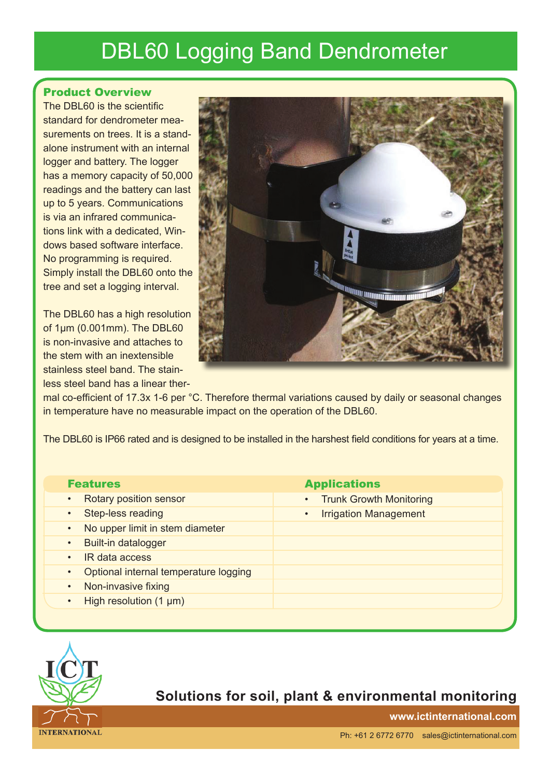# DBL60 Logging Band Dendrometer

#### Product Overview

The DBL60 is the scientific standard for dendrometer measurements on trees. It is a standalone instrument with an internal logger and battery. The logger has a memory capacity of 50,000 readings and the battery can last up to 5 years. Communications is via an infrared communications link with a dedicated, Windows based software interface. No programming is required. Simply install the DBL60 onto the tree and set a logging interval.

The DBL60 has a high resolution of 1μm (0.001mm). The DBL60 is non-invasive and attaches to the stem with an inextensible stainless steel band. The stainless steel band has a linear ther-



mal co-efficient of 17.3x 1-6 per °C. Therefore thermal variations caused by daily or seasonal changes in temperature have no measurable impact on the operation of the DBL60.

The DBL60 is IP66 rated and is designed to be installed in the harshest field conditions for years at a time.

| <b>Features</b>                          | <b>Applications</b>                         |
|------------------------------------------|---------------------------------------------|
| Rotary position sensor<br>$\bullet$      | <b>Trunk Growth Monitoring</b><br>$\bullet$ |
| Step-less reading                        | <b>Irrigation Management</b>                |
| No upper limit in stem diameter          |                                             |
| Built-in datalogger<br>$\bullet$         |                                             |
| IR data access<br>$\bullet$              |                                             |
| Optional internal temperature logging    |                                             |
| Non-invasive fixing<br>$\bullet$         |                                             |
| High resolution $(1 \mu m)$<br>$\bullet$ |                                             |
|                                          |                                             |



### **Solutions for soil, plant & environmental monitoring**

**www.ictinternational.com**